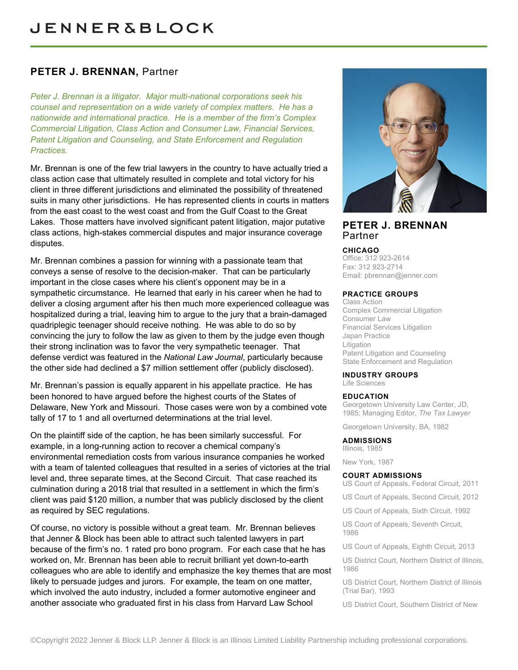# **PETER J. BRENNAN,** Partner

*Peter J. Brennan is a litigator. Major multi-national corporations seek his counsel and representation on a wide variety of complex matters. He has a nationwide and international practice. He is a member of the firm's Complex Commercial Litigation, Class Action and Consumer Law, Financial Services, Patent Litigation and Counseling, and State Enforcement and Regulation Practices.*

Mr. Brennan is one of the few trial lawyers in the country to have actually tried a class action case that ultimately resulted in complete and total victory for his client in three different jurisdictions and eliminated the possibility of threatened suits in many other jurisdictions. He has represented clients in courts in matters from the east coast to the west coast and from the Gulf Coast to the Great Lakes. Those matters have involved significant patent litigation, major putative class actions, high-stakes commercial disputes and major insurance coverage disputes.

Mr. Brennan combines a passion for winning with a passionate team that conveys a sense of resolve to the decision-maker. That can be particularly important in the close cases where his client's opponent may be in a sympathetic circumstance. He learned that early in his career when he had to deliver a closing argument after his then much more experienced colleague was hospitalized during a trial, leaving him to argue to the jury that a brain-damaged quadriplegic teenager should receive nothing. He was able to do so by convincing the jury to follow the law as given to them by the judge even though their strong inclination was to favor the very sympathetic teenager. That defense verdict was featured in the *National Law Journal*, particularly because the other side had declined a \$7 million settlement offer (publicly disclosed).

Mr. Brennan's passion is equally apparent in his appellate practice. He has been honored to have argued before the highest courts of the States of Delaware, New York and Missouri. Those cases were won by a combined vote tally of 17 to 1 and all overturned determinations at the trial level.

On the plaintiff side of the caption, he has been similarly successful. For example, in a long-running action to recover a chemical company's environmental remediation costs from various insurance companies he worked with a team of talented colleagues that resulted in a series of victories at the trial level and, three separate times, at the Second Circuit. That case reached its culmination during a 2018 trial that resulted in a settlement in which the firm's client was paid \$120 million, a number that was publicly disclosed by the client as required by SEC regulations.

Of course, no victory is possible without a great team. Mr. Brennan believes that Jenner & Block has been able to attract such talented lawyers in part because of the firm's no. 1 rated pro bono program. For each case that he has worked on, Mr. Brennan has been able to recruit brilliant yet down-to-earth colleagues who are able to identify and emphasize the key themes that are most likely to persuade judges and jurors. For example, the team on one matter, which involved the auto industry, included a former automotive engineer and another associate who graduated first in his class from Harvard Law School



## **PETER J. BRENNAN** Partner

#### **CHICAGO**

Office: 312 923-2614 Fax: 312 923-2714 Email: [pbrennan@jenner.com](mailto:pbrennan@jenner.com)

### **PRACTICE GROUPS**

Class Action Complex Commercial Litigation Consumer Law Financial Services Litigation Japan Practice Litigation Patent Litigation and Counseling State Enforcement and Regulation

#### **INDUSTRY GROUPS**

Life Sciences

#### **EDUCATION**

Georgetown University Law Center, JD, 1985; Managing Editor, *The Tax Lawyer*

Georgetown University, BA, 1982

#### **ADMISSIONS**

Illinois, 1985

New York, 1987

#### **COURT ADMISSIONS**

- US Court of Appeals, Federal Circuit, 2011
- US Court of Appeals, Second Circuit, 2012
- US Court of Appeals, Sixth Circuit, 1992

US Court of Appeals, Seventh Circuit, 1986

US Court of Appeals, Eighth Circuit, 2013

US District Court, Northern District of Illinois, 1986

US District Court, Northern District of Illinois (Trial Bar), 1993

US District Court, Southern District of New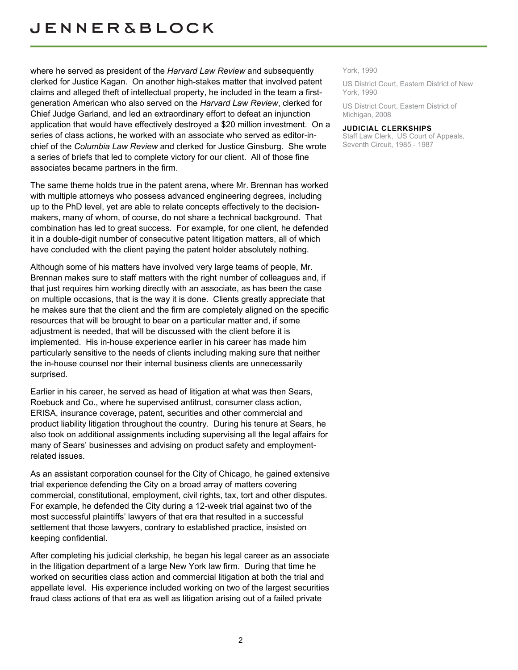where he served as president of the *Harvard Law Review* and subsequently clerked for Justice Kagan. On another high-stakes matter that involved patent claims and alleged theft of intellectual property, he included in the team a firstgeneration American who also served on the *Harvard Law Review*, clerked for Chief Judge Garland, and led an extraordinary effort to defeat an injunction application that would have effectively destroyed a \$20 million investment. On a series of class actions, he worked with an associate who served as editor-inchief of the *Columbia Law Review* and clerked for Justice Ginsburg. She wrote a series of briefs that led to complete victory for our client. All of those fine associates became partners in the firm.

The same theme holds true in the patent arena, where Mr. Brennan has worked with multiple attorneys who possess advanced engineering degrees, including up to the PhD level, yet are able to relate concepts effectively to the decisionmakers, many of whom, of course, do not share a technical background. That combination has led to great success. For example, for one client, he defended it in a double-digit number of consecutive patent litigation matters, all of which have concluded with the client paying the patent holder absolutely nothing.

Although some of his matters have involved very large teams of people, Mr. Brennan makes sure to staff matters with the right number of colleagues and, if that just requires him working directly with an associate, as has been the case on multiple occasions, that is the way it is done. Clients greatly appreciate that he makes sure that the client and the firm are completely aligned on the specific resources that will be brought to bear on a particular matter and, if some adjustment is needed, that will be discussed with the client before it is implemented. His in-house experience earlier in his career has made him particularly sensitive to the needs of clients including making sure that neither the in-house counsel nor their internal business clients are unnecessarily surprised.

Earlier in his career, he served as head of litigation at what was then Sears, Roebuck and Co., where he supervised antitrust, consumer class action, ERISA, insurance coverage, patent, securities and other commercial and product liability litigation throughout the country. During his tenure at Sears, he also took on additional assignments including supervising all the legal affairs for many of Sears' businesses and advising on product safety and employmentrelated issues.

As an assistant corporation counsel for the City of Chicago, he gained extensive trial experience defending the City on a broad array of matters covering commercial, constitutional, employment, civil rights, tax, tort and other disputes. For example, he defended the City during a 12-week trial against two of the most successful plaintiffs' lawyers of that era that resulted in a successful settlement that those lawyers, contrary to established practice, insisted on keeping confidential.

After completing his judicial clerkship, he began his legal career as an associate in the litigation department of a large New York law firm. During that time he worked on securities class action and commercial litigation at both the trial and appellate level. His experience included working on two of the largest securities fraud class actions of that era as well as litigation arising out of a failed private

York, 1990

US District Court, Eastern District of New York, 1990

US District Court, Eastern District of Michigan, 2008

#### **JUDICIAL CLERKSHIPS**

Staff Law Clerk, US Court of Appeals, Seventh Circuit, 1985 - 1987